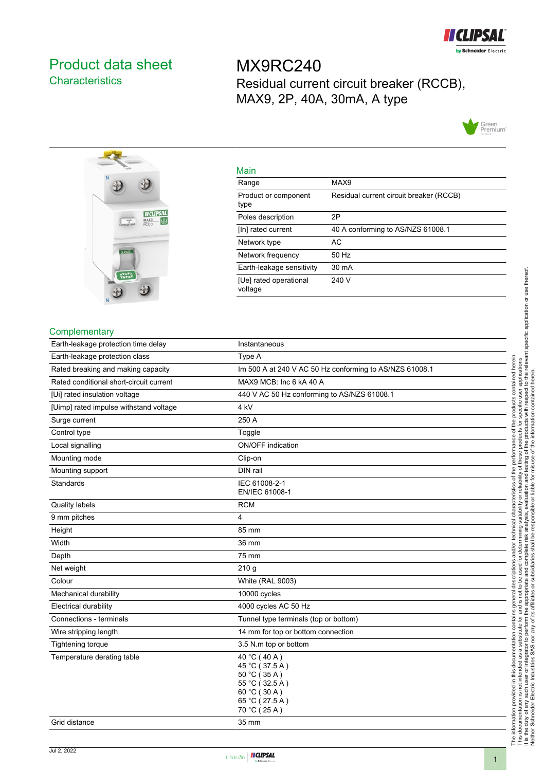

# <span id="page-0-0"></span>Product data sheet **Characteristics**

MX9RC240 Residual current circuit breaker (RCCB), MAX9, 2P, 40A, 30mA, A type





| Main                              |                                         |
|-----------------------------------|-----------------------------------------|
| Range                             | MAX9                                    |
| Product or component<br>type      | Residual current circuit breaker (RCCB) |
| Poles description                 | 2P                                      |
| [In] rated current                | 40 A conforming to AS/NZS 61008.1       |
| Network type                      | AC                                      |
| Network frequency                 | 50 Hz                                   |
| Earth-leakage sensitivity         | 30 mA                                   |
| [Ue] rated operational<br>voltage | 240 V                                   |
|                                   |                                         |

#### **Complementary**

| Earth-leakage protection time delay     | Instantaneous                                                                                                      |
|-----------------------------------------|--------------------------------------------------------------------------------------------------------------------|
| Earth-leakage protection class          | Type A                                                                                                             |
| Rated breaking and making capacity      | Im 500 A at 240 V AC 50 Hz conforming to AS/NZS 61008.1                                                            |
| Rated conditional short-circuit current | MAX9 MCB: Inc 6 kA 40 A                                                                                            |
| [Ui] rated insulation voltage           | 440 V AC 50 Hz conforming to AS/NZS 61008.1                                                                        |
| [Uimp] rated impulse withstand voltage  | 4 <sub>kV</sub>                                                                                                    |
| Surge current                           | 250 A                                                                                                              |
| Control type                            | Toggle                                                                                                             |
| Local signalling                        | ON/OFF indication                                                                                                  |
| Mounting mode                           | Clip-on                                                                                                            |
| Mounting support                        | DIN rail                                                                                                           |
| <b>Standards</b>                        | IEC 61008-2-1<br>EN/IEC 61008-1                                                                                    |
| <b>Quality labels</b>                   | <b>RCM</b>                                                                                                         |
| 9 mm pitches                            | 4                                                                                                                  |
| Height                                  | 85 mm                                                                                                              |
| Width                                   | 36 mm                                                                                                              |
| Depth                                   | 75 mm                                                                                                              |
| Net weight                              | 210 <sub>g</sub>                                                                                                   |
| Colour                                  | White (RAL 9003)                                                                                                   |
| Mechanical durability                   | 10000 cycles                                                                                                       |
| Electrical durability                   | 4000 cycles AC 50 Hz                                                                                               |
| Connections - terminals                 | Tunnel type terminals (top or bottom)                                                                              |
| Wire stripping length                   | 14 mm for top or bottom connection                                                                                 |
| Tightening torque                       | 3.5 N m top or bottom                                                                                              |
| Temperature derating table              | 40 °C (40 A)<br>45 °C (37.5 A)<br>50 °C (35 A)<br>55 °C (32.5 A)<br>60 °C (30 A)<br>65 °C (27.5 A)<br>70 °C (25 A) |
| Grid distance                           | 35 mm                                                                                                              |